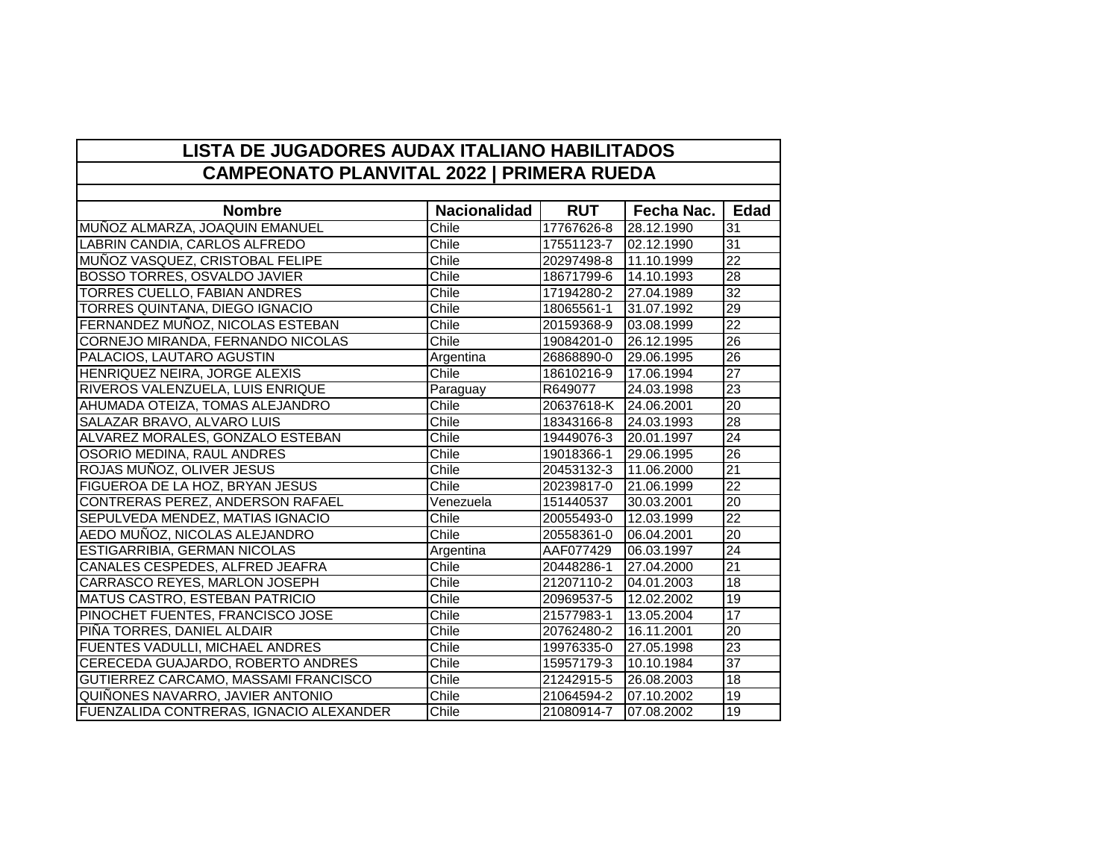## **LISTA DE JUGADORES AUDAX ITALIANO HABILITADOS CAMPEONATO PLANVITAL 2022 | PRIMERA RUEDA**

| <b>Nombre</b>                           | <b>Nacionalidad</b> | <b>RUT</b> | Fecha Nac. | <b>Edad</b>     |
|-----------------------------------------|---------------------|------------|------------|-----------------|
| MUÑOZ ALMARZA, JOAQUIN EMANUEL          | Chile               | 17767626-8 | 28.12.1990 | 31              |
| LABRIN CANDIA, CARLOS ALFREDO           | Chile               | 17551123-7 | 02.12.1990 | 31              |
| MUÑOZ VASQUEZ, CRISTOBAL FELIPE         | Chile               | 20297498-8 | 11.10.1999 | $\overline{22}$ |
| <b>BOSSO TORRES, OSVALDO JAVIER</b>     | Chile               | 18671799-6 | 14.10.1993 | 28              |
| TORRES CUELLO, FABIAN ANDRES            | Chile               | 17194280-2 | 27.04.1989 | $\overline{32}$ |
| TORRES QUINTANA, DIEGO IGNACIO          | Chile               | 18065561-1 | 31.07.1992 | 29              |
| FERNANDEZ MUÑOZ, NICOLAS ESTEBAN        | Chile               | 20159368-9 | 03.08.1999 | $\overline{22}$ |
| CORNEJO MIRANDA, FERNANDO NICOLAS       | Chile               | 19084201-0 | 26.12.1995 | $\overline{26}$ |
| PALACIOS, LAUTARO AGUSTIN               | Argentina           | 26868890-0 | 29.06.1995 | 26              |
| HENRIQUEZ NEIRA, JORGE ALEXIS           | Chile               | 18610216-9 | 17.06.1994 | $\overline{27}$ |
| RIVEROS VALENZUELA, LUIS ENRIQUE        | Paraguay            | R649077    | 24.03.1998 | $\overline{23}$ |
| AHUMADA OTEIZA, TOMAS ALEJANDRO         | Chile               | 20637618-K | 24.06.2001 | $\overline{20}$ |
| SALAZAR BRAVO, ALVARO LUIS              | Chile               | 18343166-8 | 24.03.1993 | 28              |
| ALVAREZ MORALES, GONZALO ESTEBAN        | Chile               | 19449076-3 | 20.01.1997 | $\overline{24}$ |
| OSORIO MEDINA, RAUL ANDRES              | Chile               | 19018366-1 | 29.06.1995 | $\overline{26}$ |
| ROJAS MUÑOZ, OLIVER JESUS               | Chile               | 20453132-3 | 11.06.2000 | $\overline{21}$ |
| <b>FIGUEROA DE LA HOZ, BRYAN JESUS</b>  | Chile               | 20239817-0 | 21.06.1999 | $\overline{22}$ |
| CONTRERAS PEREZ, ANDERSON RAFAEL        | Venezuela           | 151440537  | 30.03.2001 | $\overline{20}$ |
| SEPULVEDA MENDEZ, MATIAS IGNACIO        | Chile               | 20055493-0 | 12.03.1999 | $\overline{22}$ |
| AEDO MUÑOZ, NICOLAS ALEJANDRO           | Chile               | 20558361-0 | 06.04.2001 | $\overline{20}$ |
| ESTIGARRIBIA, GERMAN NICOLAS            | Argentina           | AAF077429  | 06.03.1997 | $\overline{24}$ |
| CANALES CESPEDES, ALFRED JEAFRA         | Chile               | 20448286-1 | 27.04.2000 | $\overline{21}$ |
| CARRASCO REYES, MARLON JOSEPH           | Chile               | 21207110-2 | 04.01.2003 | $\overline{18}$ |
| <b>MATUS CASTRO, ESTEBAN PATRICIO</b>   | Chile               | 20969537-5 | 12.02.2002 | $\overline{19}$ |
| PINOCHET FUENTES, FRANCISCO JOSE        | Chile               | 21577983-1 | 13.05.2004 | $\overline{17}$ |
| PIÑA TORRES, DANIEL ALDAIR              | Chile               | 20762480-2 | 16.11.2001 | $\overline{20}$ |
| <b>FUENTES VADULLI, MICHAEL ANDRES</b>  | Chile               | 19976335-0 | 27.05.1998 | $\overline{23}$ |
| CERECEDA GUAJARDO, ROBERTO ANDRES       | Chile               | 15957179-3 | 10.10.1984 | $\overline{37}$ |
| GUTIERREZ CARCAMO, MASSAMI FRANCISCO    | Chile               | 21242915-5 | 26.08.2003 | 18              |
| QUIÑONES NAVARRO, JAVIER ANTONIO        | Chile               | 21064594-2 | 07.10.2002 | $\overline{19}$ |
| FUENZALIDA CONTRERAS, IGNACIO ALEXANDER | Chile               | 21080914-7 | 07.08.2002 | 19              |